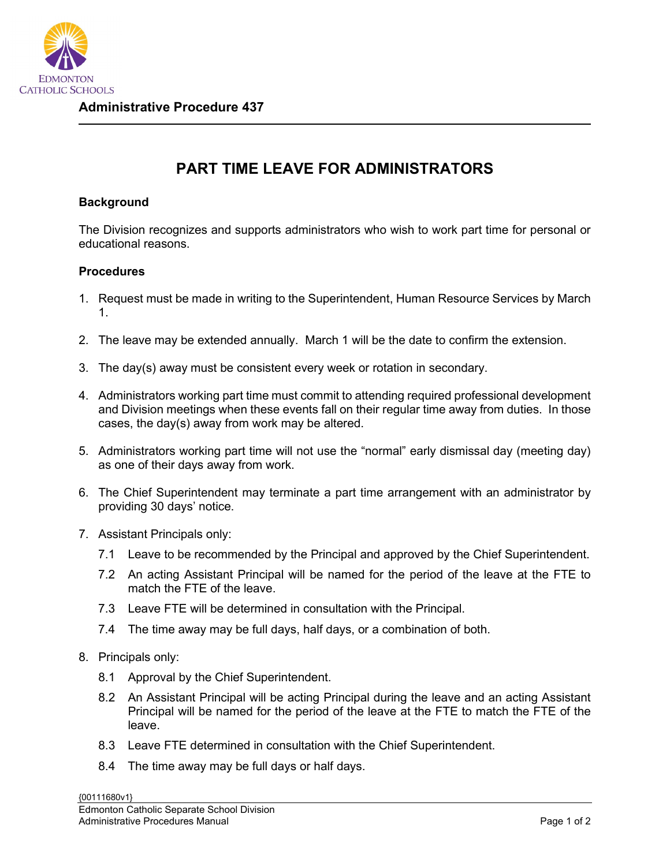

## **PART TIME LEAVE FOR ADMINISTRATORS**

## **Background**

The Division recognizes and supports administrators who wish to work part time for personal or educational reasons.

## **Procedures**

- 1. Request must be made in writing to the Superintendent, Human Resource Services by March 1.
- 2. The leave may be extended annually. March 1 will be the date to confirm the extension.
- 3. The day(s) away must be consistent every week or rotation in secondary.
- 4. Administrators working part time must commit to attending required professional development and Division meetings when these events fall on their regular time away from duties. In those cases, the day(s) away from work may be altered.
- 5. Administrators working part time will not use the "normal" early dismissal day (meeting day) as one of their days away from work.
- 6. The Chief Superintendent may terminate a part time arrangement with an administrator by providing 30 days' notice.
- 7. Assistant Principals only:
	- 7.1 Leave to be recommended by the Principal and approved by the Chief Superintendent.
	- 7.2 An acting Assistant Principal will be named for the period of the leave at the FTE to match the FTE of the leave.
	- 7.3 Leave FTE will be determined in consultation with the Principal.
	- 7.4 The time away may be full days, half days, or a combination of both.
- 8. Principals only:
	- 8.1 Approval by the Chief Superintendent.
	- 8.2 An Assistant Principal will be acting Principal during the leave and an acting Assistant Principal will be named for the period of the leave at the FTE to match the FTE of the leave.
	- 8.3 Leave FTE determined in consultation with the Chief Superintendent.
	- 8.4 The time away may be full days or half days.

{00111680v1}